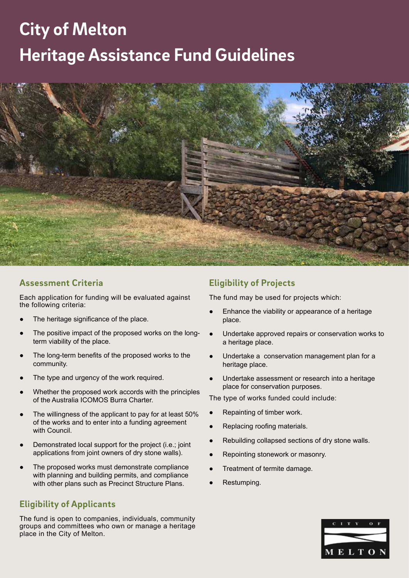# **City of Melton Heritage Assistance Fund Guidelines**



### **Assessment Criteria**

Each application for funding will be evaluated against the following criteria:

- The heritage significance of the place.
- The positive impact of the proposed works on the longterm viability of the place.
- The long-term benefits of the proposed works to the community.
- The type and urgency of the work required.
- Whether the proposed work accords with the principles of the Australia ICOMOS Burra Charter.
- The willingness of the applicant to pay for at least 50% of the works and to enter into a funding agreement with Council.
- Demonstrated local support for the project (i.e.; joint applications from joint owners of dry stone walls).
- The proposed works must demonstrate compliance with planning and building permits, and compliance with other plans such as Precinct Structure Plans.

### **Eligibility of Applicants**

The fund is open to companies, individuals, community groups and committees who own or manage a heritage place in the City of Melton.

### **Eligibility of Projects**

The fund may be used for projects which:

- Enhance the viability or appearance of a heritage place.
- Undertake approved repairs or conservation works to a heritage place.
- Undertake a conservation management plan for a heritage place.
- Undertake assessment or research into a heritage place for conservation purposes.

The type of works funded could include:

- Repainting of timber work.
- Replacing roofing materials.
- Rebuilding collapsed sections of dry stone walls.
- Repointing stonework or masonry.
- Treatment of termite damage.
- Restumping.